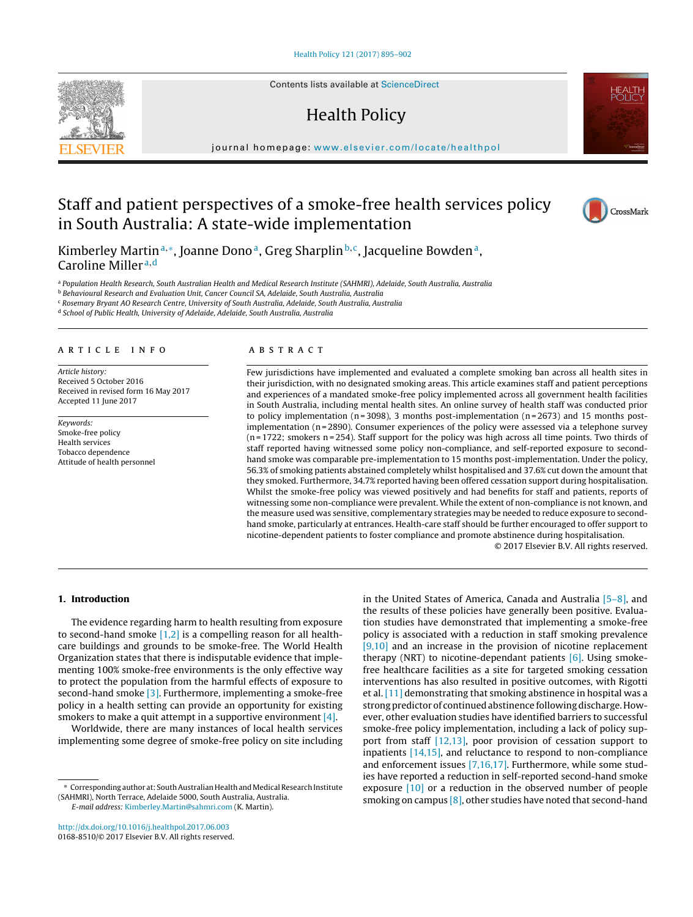Contents lists available at [ScienceDirect](http://www.sciencedirect.com/science/journal/01688510)

# Health Policy

iournal homepage: [www.elsevier.com/locate/healthpol](http://www.elsevier.com/locate/healthpol)

# Staff and patient perspectives of a smoke-free health services policy in South Australia: A state-wide implementation



Kimberley Martin<sup>a,\*</sup>, Joanne Dono<sup>a</sup>, Greg Sharplin<sup>b,c</sup>, Jacqueline Bowden<sup>a</sup>, Caroline Miller<sup>a,d</sup>

a Population Health Research, South Australian Health and Medical Research Institute (SAHMRI), Adelaide, South Australia, Australia

<sup>b</sup> Behavioural Research and Evaluation Unit, Cancer Council SA, Adelaide, South Australia, Australia

<sup>c</sup> Rosemary Bryant AO Research Centre, University of South Australia, Adelaide, South Australia, Australia

<sup>d</sup> School of Public Health, University of Adelaide, Adelaide, South Australia, Australia

### A R T I C L E I N F O

Article history: Received 5 October 2016 Received in revised form 16 May 2017 Accepted 11 June 2017

Keywords: Smoke-free policy Health services Tobacco dependence Attitude of health personnel

# A B S T R A C T

Few jurisdictions have implemented and evaluated a complete smoking ban across all health sites in their jurisdiction, with no designated smoking areas. This article examines staff and patient perceptions and experiences of a mandated smoke-free policy implemented across all government health facilities in South Australia, including mental health sites. An online survey of health staff was conducted prior to policy implementation ( $n = 3098$ ), 3 months post-implementation ( $n = 2673$ ) and 15 months postimplementation (n = 2890). Consumer experiences of the policy were assessed via a telephone survey  $(n = 1722;$  smokers  $n = 254$ ). Staff support for the policy was high across all time points. Two thirds of staff reported having witnessed some policy non-compliance, and self-reported exposure to secondhand smoke was comparable pre-implementation to 15 months post-implementation. Under the policy, 56.3% of smoking patients abstained completely whilst hospitalised and 37.6% cut down the amount that they smoked. Furthermore, 34.7% reported having been offered cessation support during hospitalisation. Whilst the smoke-free policy was viewed positively and had benefits for staff and patients, reports of witnessing some non-compliance were prevalent. While the extent of non-compliance is not known, and the measure used was sensitive, complementary strategies may be needed to reduce exposure to secondhand smoke, particularly at entrances. Health-care staff should be further encouraged to offer support to nicotine-dependent patients to foster compliance and promote abstinence during hospitalisation.

© 2017 Elsevier B.V. All rights reserved.

# **1. Introduction**

The evidence regarding harm to health resulting from exposure to second-hand smoke  $[1,2]$  is a compelling reason for all healthcare buildings and grounds to be smoke-free. The World Health Organization states that there is indisputable evidence that implementing 100% smoke-free environments is the only effective way to protect the population from the harmful effects of exposure to second-hand smoke [\[3\].](#page-7-0) Furthermore, implementing a smoke-free policy in a health setting can provide an opportunity for existing smokers to make a quit attempt in a supportive environment [\[4\].](#page-7-0)

Worldwide, there are many instances of local health services implementing some degree of smoke-free policy on site including

∗ Corresponding author at: SouthAustralianHealthandMedicalResearchInstitute (SAHMRI), North Terrace, Adelaide 5000, South Australia, Australia.

E-mail address: [Kimberley.Martin@sahmri.com](mailto:Kimberley.Martin@sahmri.com) (K. Martin).

[http://dx.doi.org/10.1016/j.healthpol.2017.06.003](dx.doi.org/10.1016/j.healthpol.2017.06.003) 0168-8510/© 2017 Elsevier B.V. All rights reserved. in the United States of America, Canada and Australia [\[5–8\],](#page-7-0) and the results of these policies have generally been positive. Evaluation studies have demonstrated that implementing a smoke-free policy is associated with a reduction in staff smoking prevalence [\[9,10\]](#page-7-0) and an increase in the provision of nicotine replacement therapy (NRT) to nicotine-dependant patients  $[6]$ . Using smokefree healthcare facilities as a site for targeted smoking cessation interventions has also resulted in positive outcomes, with Rigotti et al. [\[11\]](#page-7-0) demonstrating that smoking abstinence in hospital was a strong predictor of continued abstinence following discharge. However, other evaluation studies have identified barriers to successful smoke-free policy implementation, including a lack of policy support from staff [\[12,13\],](#page-7-0) poor provision of cessation support to inpatients [\[14,15\],](#page-7-0) and reluctance to respond to non-compliance and enforcement issues [\[7,16,17\].](#page-7-0) Furthermore, while some studies have reported a reduction in self-reported second-hand smoke exposure [\[10\]](#page-7-0) or a reduction in the observed number of people smoking on campus [\[8\],](#page-7-0) other studies have noted that second-hand

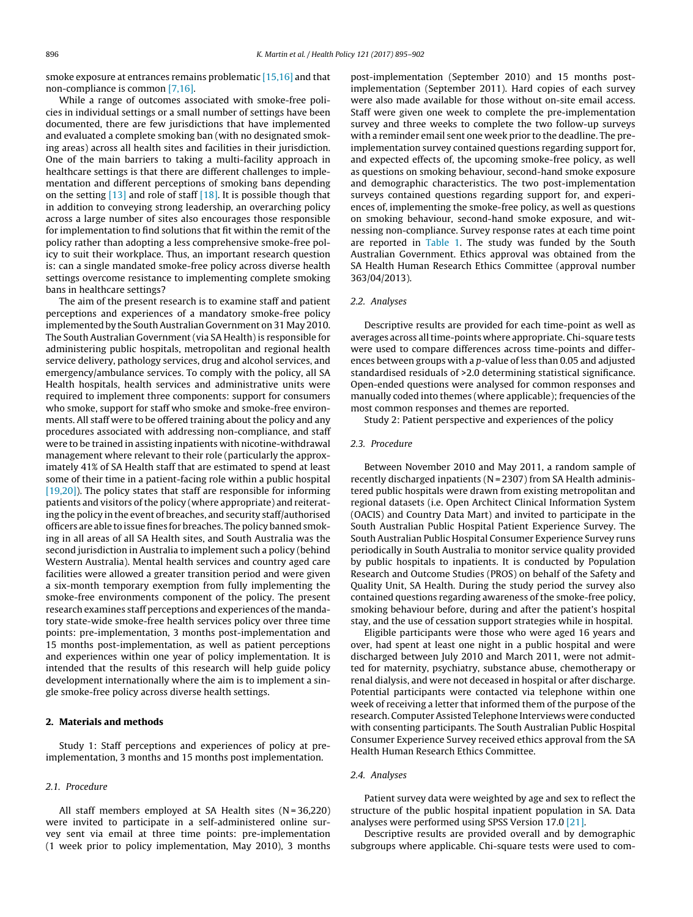smoke exposure at entrances remains problematic  $[15,16]$  and that non-compliance is common [\[7,16\].](#page-7-0)

While a range of outcomes associated with smoke-free policies in individual settings or a small number of settings have been documented, there are few jurisdictions that have implemented and evaluated a complete smoking ban (with no designated smoking areas) across all health sites and facilities in their jurisdiction. One of the main barriers to taking a multi-facility approach in healthcare settings is that there are different challenges to implementation and different perceptions of smoking bans depending on the setting  $[13]$  and role of staff  $[18]$ . It is possible though that in addition to conveying strong leadership, an overarching policy across a large number of sites also encourages those responsible for implementation to find solutions that fit within the remit of the policy rather than adopting a less comprehensive smoke-free policy to suit their workplace. Thus, an important research question is: can a single mandated smoke-free policy across diverse health settings overcome resistance to implementing complete smoking bans in healthcare settings?

The aim of the present research is to examine staff and patient perceptions and experiences of a mandatory smoke-free policy implemented by the South Australian Government on 31 May 2010. The South Australian Government (via SA Health) is responsible for administering public hospitals, metropolitan and regional health service delivery, pathology services, drug and alcohol services, and emergency/ambulance services. To comply with the policy, all SA Health hospitals, health services and administrative units were required to implement three components: support for consumers who smoke, support for staff who smoke and smoke-free environments. All staff were to be offered training about the policy and any procedures associated with addressing non-compliance, and staff were to be trained in assisting inpatients with nicotine-withdrawal management where relevant to their role (particularly the approximately 41% of SA Health staff that are estimated to spend at least some of their time in a patient-facing role within a public hospital [\[19,20\]\).](#page-7-0) The policy states that staff are responsible for informing patients and visitors of the policy (where appropriate) and reiterating the policy in the event of breaches, and security staff/authorised officers are able to issue fines for breaches. The policy banned smoking in all areas of all SA Health sites, and South Australia was the second jurisdiction in Australia to implement such a policy (behind Western Australia). Mental health services and country aged care facilities were allowed a greater transition period and were given a six-month temporary exemption from fully implementing the smoke-free environments component of the policy. The present research examines staff perceptions and experiences of the mandatory state-wide smoke-free health services policy over three time points: pre-implementation, 3 months post-implementation and 15 months post-implementation, as well as patient perceptions and experiences within one year of policy implementation. It is intended that the results of this research will help guide policy development internationally where the aim is to implement a single smoke-free policy across diverse health settings.

# **2. Materials and methods**

Study 1: Staff perceptions and experiences of policy at preimplementation, 3 months and 15 months post implementation.

# 2.1. Procedure

All staff members employed at SA Health sites  $(N=36,220)$ were invited to participate in a self-administered online survey sent via email at three time points: pre-implementation (1 week prior to policy implementation, May 2010), 3 months

post-implementation (September 2010) and 15 months postimplementation (September 2011). Hard copies of each survey were also made available for those without on-site email access. Staff were given one week to complete the pre-implementation survey and three weeks to complete the two follow-up surveys with a reminder email sent one week prior to the deadline. The preimplementation survey contained questions regarding support for, and expected effects of, the upcoming smoke-free policy, as well as questions on smoking behaviour, second-hand smoke exposure and demographic characteristics. The two post-implementation surveys contained questions regarding support for, and experiences of, implementing the smoke-free policy, as well as questions on smoking behaviour, second-hand smoke exposure, and witnessing non-compliance. Survey response rates at each time point are reported in [Table](#page-2-0) 1. The study was funded by the South Australian Government. Ethics approval was obtained from the SA Health Human Research Ethics Committee (approval number 363/04/2013).

## 2.2. Analyses

Descriptive results are provided for each time-point as well as averages across all time-points where appropriate. Chi-square tests were used to compare differences across time-points and differences between groups with a p-value of less than 0.05 and adjusted standardised residuals of >2.0 determining statistical significance. Open-ended questions were analysed for common responses and manually coded into themes (where applicable); frequencies of the most common responses and themes are reported.

Study 2: Patient perspective and experiences of the policy

# 2.3. Procedure

Between November 2010 and May 2011, a random sample of recently discharged inpatients (N = 2307) from SA Health administered public hospitals were drawn from existing metropolitan and regional datasets (i.e. Open Architect Clinical Information System (OACIS) and Country Data Mart) and invited to participate in the South Australian Public Hospital Patient Experience Survey. The South Australian Public Hospital Consumer Experience Survey runs periodically in South Australia to monitor service quality provided by public hospitals to inpatients. It is conducted by Population Research and Outcome Studies (PROS) on behalf of the Safety and Quality Unit, SA Health. During the study period the survey also contained questions regarding awareness of the smoke-free policy, smoking behaviour before, during and after the patient's hospital stay, and the use of cessation support strategies while in hospital.

Eligible participants were those who were aged 16 years and over, had spent at least one night in a public hospital and were discharged between July 2010 and March 2011, were not admitted for maternity, psychiatry, substance abuse, chemotherapy or renal dialysis, and were not deceased in hospital or after discharge. Potential participants were contacted via telephone within one week of receiving a letter that informed them of the purpose of the research. Computer Assisted Telephone Interviews were conducted with consenting participants. The South Australian Public Hospital Consumer Experience Survey received ethics approval from the SA Health Human Research Ethics Committee.

# 2.4. Analyses

Patient survey data were weighted by age and sex to reflect the structure of the public hospital inpatient population in SA. Data analyses were performed using SPSS Version 17.0 [\[21\].](#page-7-0)

Descriptive results are provided overall and by demographic subgroups where applicable. Chi-square tests were used to com-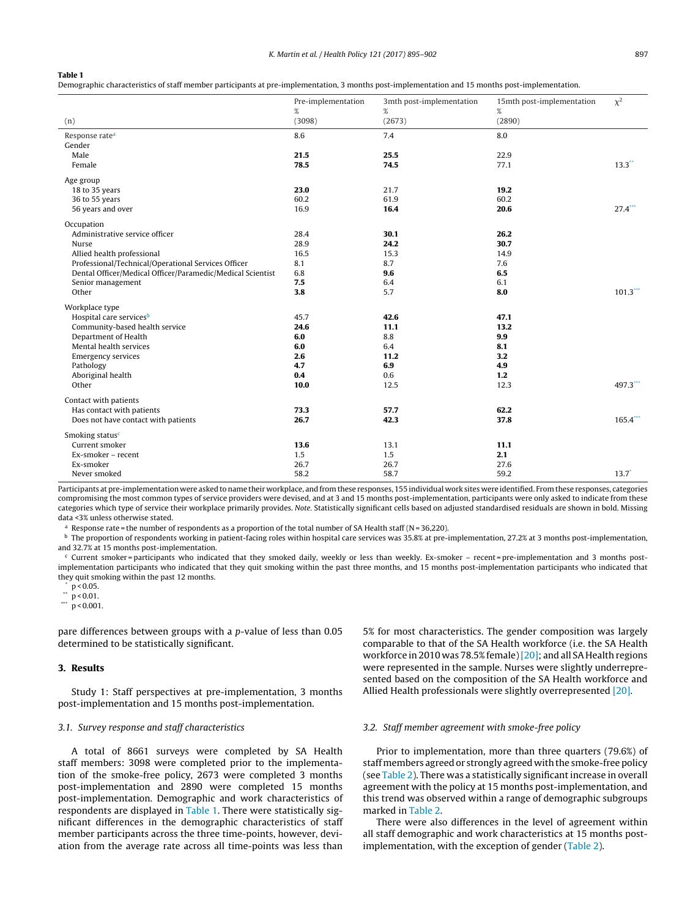#### <span id="page-2-0"></span>**Table 1**

Demographic characteristics of staff member participants at pre-implementation, 3 months post-implementation and 15 months post-implementation.

|                                                            | Pre-implementation<br>% | 3mth post-implementation | 15mth post-implementation<br>% | $\chi^2$       |
|------------------------------------------------------------|-------------------------|--------------------------|--------------------------------|----------------|
| (n)                                                        | (3098)                  | $\%$<br>(2673)           | (2890)                         |                |
|                                                            |                         |                          |                                |                |
| Response rate <sup>a</sup>                                 | 8.6                     | 7.4                      | 8.0                            |                |
| Gender                                                     |                         |                          |                                |                |
| Male                                                       | 21.5                    | 25.5                     | 22.9                           |                |
| Female                                                     | 78.5                    | 74.5                     | 77.1                           | $13.3$ **      |
| Age group                                                  |                         |                          |                                |                |
| 18 to 35 years                                             | 23.0                    | 21.7                     | 19.2                           |                |
| 36 to 55 years                                             | 60.2                    | 61.9                     | 60.2                           |                |
| 56 years and over                                          | 16.9                    | 16.4                     | 20.6                           | $27.4***$      |
| Occupation                                                 |                         |                          |                                |                |
| Administrative service officer                             | 28.4                    | 30.1                     | 26.2                           |                |
| Nurse                                                      | 28.9                    | 24.2                     | 30.7                           |                |
| Allied health professional                                 | 16.5                    | 15.3                     | 14.9                           |                |
| Professional/Technical/Operational Services Officer        | 8.1                     | 8.7                      | 7.6                            |                |
| Dental Officer/Medical Officer/Paramedic/Medical Scientist | 6.8                     | 9.6                      | 6.5                            |                |
| Senior management                                          | 7.5                     | 6.4                      | 6.1                            |                |
| Other                                                      | 3.8                     | 5.7                      | 8.0                            | $101.3***$     |
| Workplace type                                             |                         |                          |                                |                |
| Hospital care services <sup>b</sup>                        | 45.7                    | 42.6                     | 47.1                           |                |
| Community-based health service                             | 24.6                    | 11.1                     | 13.2                           |                |
| Department of Health                                       | 6.0                     | 8.8                      | 9.9                            |                |
| Mental health services                                     | 6.0                     | 6.4                      | 8.1                            |                |
| <b>Emergency services</b>                                  | 2.6                     | 11.2                     | 3.2                            |                |
| Pathology                                                  | 4.7                     | 6.9                      | 4.9                            |                |
| Aboriginal health                                          | 0.4                     | 0.6                      | $1.2$                          |                |
| Other                                                      | 10.0                    | 12.5                     | 12.3                           | 497.3***       |
| Contact with patients                                      |                         |                          |                                |                |
| Has contact with patients                                  | 73.3                    | 57.7                     | 62.2                           |                |
| Does not have contact with patients                        | 26.7                    | 42.3                     | 37.8                           | $165.4$ ***    |
| Smoking status <sup>c</sup>                                |                         |                          |                                |                |
| Current smoker                                             | 13.6                    | 13.1                     | 11.1                           |                |
| Ex-smoker - recent                                         | 1.5                     | 1.5                      | 2.1                            |                |
| Ex-smoker                                                  | 26.7                    | 26.7                     | 27.6                           |                |
| Never smoked                                               | 58.2                    | 58.7                     | 59.2                           | $13.7^{\circ}$ |
|                                                            |                         |                          |                                |                |

Participants at pre-implementation were asked to name their workplace, and from these responses, 155 individual work sites were identified. From these responses, categories compromising the most common types of service providers were devised, and at 3 and 15 months post-implementation, participants were only asked to indicate from these categories which type of service their workplace primarily provides. Note. Statistically significant cells based on adjusted standardised residuals are shown in bold. Missing data <3% unless otherwise stated.

<sup>a</sup> Response rate = the number of respondents as a proportion of the total number of SA Health staff (N = 36.220).

b The proportion of respondents working in patient-facing roles within hospital care services was 35.8% at pre-implementation, 27.2% at 3 months post-implementation, and 32.7% at 15 months post-implementation.

Current smoker = participants who indicated that they smoked daily, weekly or less than weekly. Ex-smoker - recent = pre-implementation and 3 months postimplementation participants who indicated that they quit smoking within the past three months, and 15 months post-implementation participants who indicated that they quit smoking within the past 12 months.

- $p < 0.05$ .
- $p < 0.01$ .
- \*\*\*  $p < 0.001$ .

pare differences between groups with a p-value of less than 0.05 determined to be statistically significant.

# **3. Results**

Study 1: Staff perspectives at pre-implementation, 3 months post-implementation and 15 months post-implementation.

# 3.1. Survey response and staff characteristics

A total of 8661 surveys were completed by SA Health staff members: 3098 were completed prior to the implementation of the smoke-free policy, 2673 were completed 3 months post-implementation and 2890 were completed 15 months post-implementation. Demographic and work characteristics of respondents are displayed in Table 1. There were statistically significant differences in the demographic characteristics of staff member participants across the three time-points, however, deviation from the average rate across all time-points was less than 5% for most characteristics. The gender composition was largely comparable to that of the SA Health workforce (i.e. the SA Health workforce in 2010 was 78.5% female)[\[20\];](#page-7-0) and all SA Health regions were represented in the sample. Nurses were slightly underrepresented based on the composition of the SA Health workforce and Allied Health professionals were slightly overrepresented [\[20\].](#page-7-0)

## 3.2. Staff member agreement with smoke-free policy

Prior to implementation, more than three quarters (79.6%) of staff members agreed or strongly agreed with the smoke-free policy (see [Table](#page-3-0) 2). There was a statistically significant increase in overall agreement with the policy at 15 months post-implementation, and this trend was observed within a range of demographic subgroups marked in [Table](#page-3-0) 2.

There were also differences in the level of agreement within all staff demographic and work characteristics at 15 months postimplementation, with the exception of gender [\(Table](#page-3-0) 2).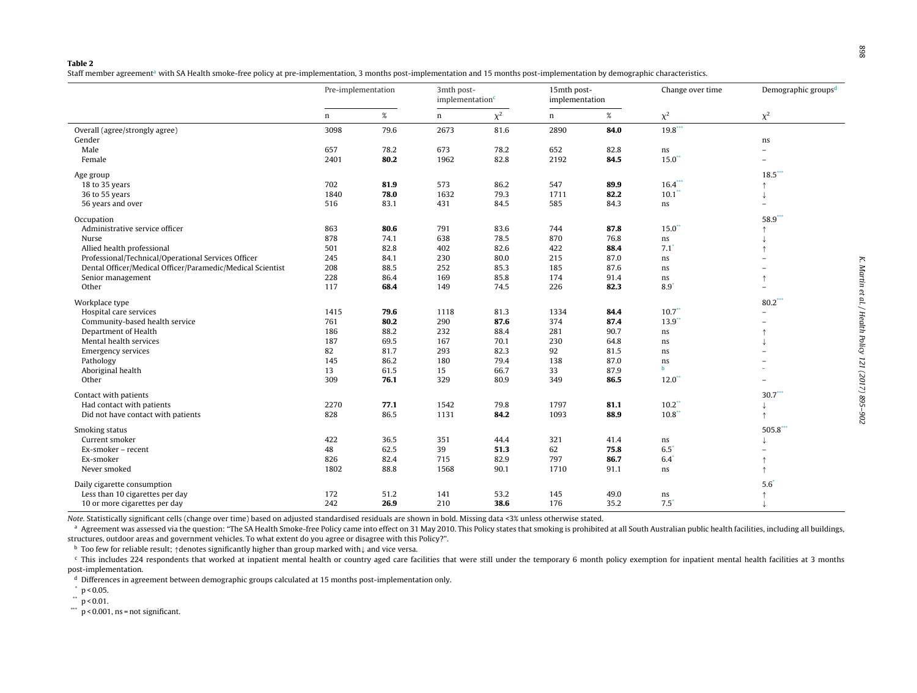#### <span id="page-3-0"></span>**Table 2**

Staff member agreement<sup>a</sup> with SA Health smoke-free policy at pre-implementation, 3 months post-implementation and 15 months post-implementation by demographic characteristics.

|                                                            | Pre-implementation |      | 3mth post-<br>implementation <sup>c</sup> |          | 15mth post-<br>implementation |      | Change over time   | Demographic groups <sup>d</sup> |
|------------------------------------------------------------|--------------------|------|-------------------------------------------|----------|-------------------------------|------|--------------------|---------------------------------|
|                                                            | $\mathbf n$        | %    | n                                         | $\chi^2$ | n                             | %    | $\chi^2$           | $\chi^2$                        |
| Overall (agree/strongly agree)                             | 3098               | 79.6 | 2673                                      | 81.6     | 2890                          | 84.0 | $19.8***$          |                                 |
| Gender                                                     |                    |      |                                           |          |                               |      |                    | ns                              |
| Male                                                       | 657                | 78.2 | 673                                       | 78.2     | 652                           | 82.8 | ns                 | $\equiv$                        |
| Female                                                     | 2401               | 80.2 | 1962                                      | 82.8     | 2192                          | 84.5 | $15.0$ **          | $\equiv$                        |
| Age group                                                  |                    |      |                                           |          |                               |      |                    | $18.5***$                       |
| 18 to 35 years                                             | 702                | 81.9 | 573                                       | 86.2     | 547                           | 89.9 | $16.4$ ***         |                                 |
| 36 to 55 years                                             | 1840               | 78.0 | 1632                                      | 79.3     | 1711                          | 82.2 | $10.1^*$           |                                 |
| 56 years and over                                          | 516                | 83.1 | 431                                       | 84.5     | 585                           | 84.3 | ns                 | $\overline{\phantom{0}}$        |
| Occupation                                                 |                    |      |                                           |          |                               |      |                    | 58.9**                          |
| Administrative service officer                             | 863                | 80.6 | 791                                       | 83.6     | 744                           | 87.8 | 15.0               |                                 |
| Nurse                                                      | 878                | 74.1 | 638                                       | 78.5     | 870                           | 76.8 | ns                 |                                 |
| Allied health professional                                 | 501                | 82.8 | 402                                       | 82.6     | 422                           | 88.4 | $7.1$ <sup>*</sup> |                                 |
| Professional/Technical/Operational Services Officer        | 245                | 84.1 | 230                                       | 80.0     | 215                           | 87.0 | ns                 |                                 |
| Dental Officer/Medical Officer/Paramedic/Medical Scientist | 208                | 88.5 | 252                                       | 85.3     | 185                           | 87.6 | ns                 |                                 |
| Senior management                                          | 228                | 86.4 | 169                                       | 85.8     | 174                           | 91.4 | ns                 |                                 |
| Other                                                      | 117                | 68.4 | 149                                       | 74.5     | 226                           | 82.3 | $8.9*$             |                                 |
| Workplace type                                             |                    |      |                                           |          |                               |      |                    | $80.2$ **                       |
| Hospital care services                                     | 1415               | 79.6 | 1118                                      | 81.3     | 1334                          | 84.4 | $10.7$ **          |                                 |
| Community-based health service                             | 761                | 80.2 | 290                                       | 87.6     | 374                           | 87.4 | 13.9               |                                 |
| Department of Health                                       | 186                | 88.2 | 232                                       | 88.4     | 281                           | 90.7 | ns                 |                                 |
| Mental health services                                     | 187                | 69.5 | 167                                       | 70.1     | 230                           | 64.8 | ns                 |                                 |
| <b>Emergency services</b>                                  | 82                 | 81.7 | 293                                       | 82.3     | 92                            | 81.5 | ns                 |                                 |
| Pathology                                                  | 145                | 86.2 | 180                                       | 79.4     | 138                           | 87.0 | ns                 |                                 |
| Aboriginal health                                          | 13                 | 61.5 | 15                                        | 66.7     | 33                            | 87.9 | $\mathbf b$        |                                 |
| Other                                                      | 309                | 76.1 | 329                                       | 80.9     | 349                           | 86.5 | 12.0               |                                 |
| Contact with patients                                      |                    |      |                                           |          |                               |      |                    | $30.7***$                       |
| Had contact with patients                                  | 2270               | 77.1 | 1542                                      | 79.8     | 1797                          | 81.1 | $10.2$ **          |                                 |
| Did not have contact with patients                         | 828                | 86.5 | 1131                                      | 84.2     | 1093                          | 88.9 | 10.8               |                                 |
| Smoking status                                             |                    |      |                                           |          |                               |      |                    | 505.8***                        |
| Current smoker                                             | 422                | 36.5 | 351                                       | 44.4     | 321                           | 41.4 | ns                 |                                 |
| Ex-smoker - recent                                         | 48                 | 62.5 | 39                                        | 51.3     | 62                            | 75.8 | 6.5                |                                 |
| Ex-smoker                                                  | 826                | 82.4 | 715                                       | 82.9     | 797                           | 86.7 | 6.4                |                                 |
| Never smoked                                               | 1802               | 88.8 | 1568                                      | 90.1     | 1710                          | 91.1 | ns                 | 个                               |
| Daily cigarette consumption                                |                    |      |                                           |          |                               |      |                    | 5.6                             |
| Less than 10 cigarettes per day                            | 172                | 51.2 | 141                                       | 53.2     | 145                           | 49.0 | ns                 |                                 |
| 10 or more cigarettes per day                              | 242                | 26.9 | 210                                       | 38.6     | 176                           | 35.2 | 7.5                |                                 |

Note. Statistically significant cells (change over time) based on adjusted standardised residuals are shown in bold. Missing data <3% unless otherwise stated.

a Agreement was assessed via the question: "The SA Health Smoke-free Policy came into effect on 31 May 2010. This Policy states that smoking is prohibited at all South Australian public health facilities, including all bui structures, outdoor areas and government vehicles. To what extent do you agree or disagree with this Policy?".

**b** Too few for reliable result;  $\uparrow$  denotes significantly higher than group marked with $\downarrow$  and vice versa.

c This includes 224 respondents that worked at inpatient mental health or country aged care facilities that were still under the temporary 6 month policy exemption for inpatient mental health facilities at 3 months post-implementation.

 $^{\text{d}}$  Differences in agreement between demographic groups calculated at 15 months post-implementation only.

 $p$  < 0.05.

 $*$  p < 0.01.

\*\*\* p <sup>&</sup>lt; 0.001, ns <sup>=</sup> not significant.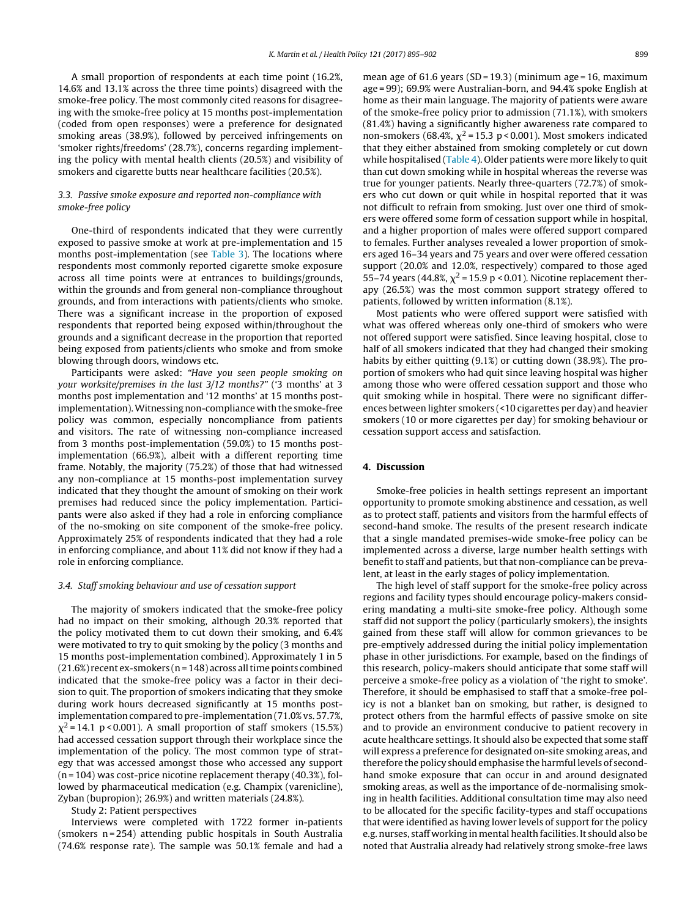A small proportion of respondents at each time point (16.2%, 14.6% and 13.1% across the three time points) disagreed with the smoke-free policy. The most commonly cited reasons for disagreeing with the smoke-free policy at 15 months post-implementation (coded from open responses) were a preference for designated smoking areas (38.9%), followed by perceived infringements on 'smoker rights/freedoms' (28.7%), concerns regarding implementing the policy with mental health clients (20.5%) and visibility of smokers and cigarette butts near healthcare facilities (20.5%).

# 3.3. Passive smoke exposure and reported non-compliance with smoke-free policy

One-third of respondents indicated that they were currently exposed to passive smoke at work at pre-implementation and 15 months post-implementation (see [Table](#page-5-0) 3). The locations where respondents most commonly reported cigarette smoke exposure across all time points were at entrances to buildings/grounds, within the grounds and from general non-compliance throughout grounds, and from interactions with patients/clients who smoke. There was a significant increase in the proportion of exposed respondents that reported being exposed within/throughout the grounds and a significant decrease in the proportion that reported being exposed from patients/clients who smoke and from smoke blowing through doors, windows etc.

Participants were asked: "Have you seen people smoking on your worksite/premises in the last 3/12 months?" ('3 months' at 3 months post implementation and '12 months' at 15 months postimplementation). Witnessing non-compliance with the smoke-free policy was common, especially noncompliance from patients and visitors. The rate of witnessing non-compliance increased from 3 months post-implementation (59.0%) to 15 months postimplementation (66.9%), albeit with a different reporting time frame. Notably, the majority (75.2%) of those that had witnessed any non-compliance at 15 months-post implementation survey indicated that they thought the amount of smoking on their work premises had reduced since the policy implementation. Participants were also asked if they had a role in enforcing compliance of the no-smoking on site component of the smoke-free policy. Approximately 25% of respondents indicated that they had a role in enforcing compliance, and about 11% did not know if they had a role in enforcing compliance.

## 3.4. Staff smoking behaviour and use of cessation support

The majority of smokers indicated that the smoke-free policy had no impact on their smoking, although 20.3% reported that the policy motivated them to cut down their smoking, and 6.4% were motivated to try to quit smoking by the policy (3 months and 15 months post-implementation combined). Approximately 1 in 5  $(21.6%)$  recent ex-smokers ( $n = 148$ ) across all time points combined indicated that the smoke-free policy was a factor in their decision to quit. The proportion of smokers indicating that they smoke during work hours decreased significantly at 15 months postimplementation compared to pre-implementation (71.0% vs. 57.7%,  $\chi^2$  = 14.1 p < 0.001). A small proportion of staff smokers (15.5%) had accessed cessation support through their workplace since the implementation of the policy. The most common type of strategy that was accessed amongst those who accessed any support  $(n = 104)$  was cost-price nicotine replacement therapy  $(40.3\%)$ , followed by pharmaceutical medication (e.g. Champix (varenicline), Zyban (bupropion); 26.9%) and written materials (24.8%).

Study 2: Patient perspectives

Interviews were completed with 1722 former in-patients  $(smoker s n = 254)$  attending public hospitals in South Australia (74.6% response rate). The sample was 50.1% female and had a mean age of  $61.6$  years  $(SD = 19.3)$  (minimum age = 16, maximum age = 99); 69.9% were Australian-born, and 94.4% spoke English at home as their main language. The majority of patients were aware of the smoke-free policy prior to admission (71.1%), with smokers (81.4%) having a significantly higher awareness rate compared to non-smokers (68.4%,  $\chi^2$  = 15.3 p < 0.001). Most smokers indicated that they either abstained from smoking completely or cut down while hospitalised ([Table](#page-6-0) 4). Older patients were more likely to quit than cut down smoking while in hospital whereas the reverse was true for younger patients. Nearly three-quarters (72.7%) of smokers who cut down or quit while in hospital reported that it was not difficult to refrain from smoking. Just over one third of smokers were offered some form of cessation support while in hospital, and a higher proportion of males were offered support compared to females. Further analyses revealed a lower proportion of smokers aged 16–34 years and 75 years and over were offered cessation support (20.0% and 12.0%, respectively) compared to those aged 55–74 years (44.8%,  $\chi^2$  = 15.9 p < 0.01). Nicotine replacement therapy (26.5%) was the most common support strategy offered to patients, followed by written information (8.1%).

Most patients who were offered support were satisfied with what was offered whereas only one-third of smokers who were not offered support were satisfied. Since leaving hospital, close to half of all smokers indicated that they had changed their smoking habits by either quitting (9.1%) or cutting down (38.9%). The proportion of smokers who had quit since leaving hospital was higher among those who were offered cessation support and those who quit smoking while in hospital. There were no significant differences between lighter smokers (<10 cigarettes per day) and heavier smokers (10 or more cigarettes per day) for smoking behaviour or cessation support access and satisfaction.

# **4. Discussion**

Smoke-free policies in health settings represent an important opportunity to promote smoking abstinence and cessation, as well as to protect staff, patients and visitors from the harmful effects of second-hand smoke. The results of the present research indicate that a single mandated premises-wide smoke-free policy can be implemented across a diverse, large number health settings with benefit to staff and patients, but that non-compliance can be prevalent, at least in the early stages of policy implementation.

The high level of staff support for the smoke-free policy across regions and facility types should encourage policy-makers considering mandating a multi-site smoke-free policy. Although some staff did not support the policy (particularly smokers), the insights gained from these staff will allow for common grievances to be pre-emptively addressed during the initial policy implementation phase in other jurisdictions. For example, based on the findings of this research, policy-makers should anticipate that some staff will perceive a smoke-free policy as a violation of 'the right to smoke'. Therefore, it should be emphasised to staff that a smoke-free policy is not a blanket ban on smoking, but rather, is designed to protect others from the harmful effects of passive smoke on site and to provide an environment conducive to patient recovery in acute healthcare settings. It should also be expected that some staff will express a preference for designated on-site smoking areas, and therefore the policy should emphasise the harmful levels of secondhand smoke exposure that can occur in and around designated smoking areas, as well as the importance of de-normalising smoking in health facilities. Additional consultation time may also need to be allocated for the specific facility-types and staff occupations that were identified as having lower levels of support for the policy e.g. nurses, staff working in mental health facilities. It should also be noted that Australia already had relatively strong smoke-free laws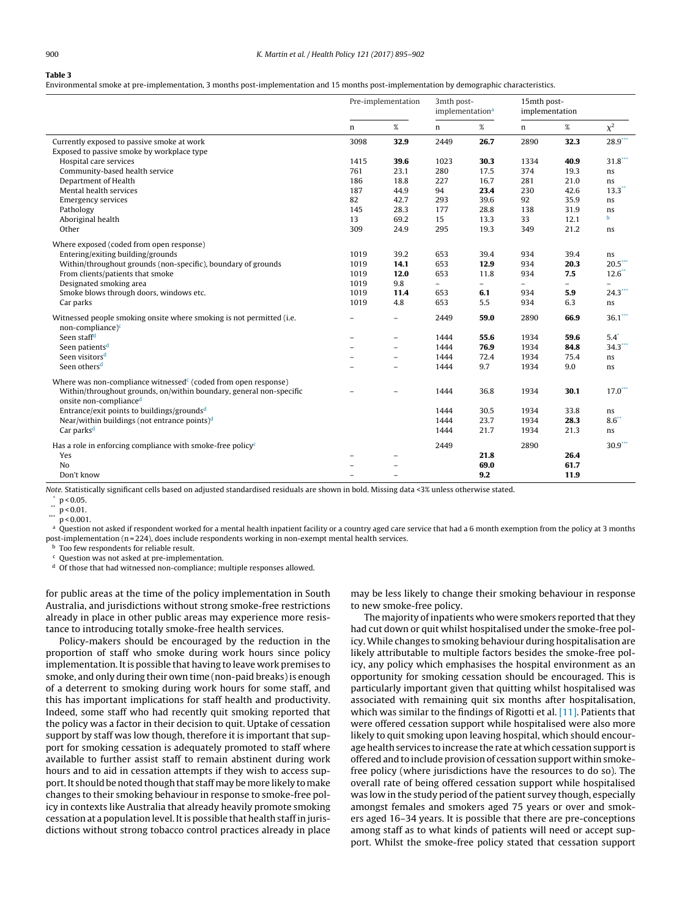## <span id="page-5-0"></span>**Table 3**

Environmental smoke at pre-implementation, 3 months post-implementation and 15 months post-implementation by demographic characteristics.

|                                                                                                           |             | Pre-implementation       | 3mth post-<br>implementation <sup>a</sup> |          | 15mth post-<br>implementation |                          |                          |
|-----------------------------------------------------------------------------------------------------------|-------------|--------------------------|-------------------------------------------|----------|-------------------------------|--------------------------|--------------------------|
|                                                                                                           | $\mathbf n$ | $\%$                     | n                                         | $\%$     | n                             | $\%$                     | $\chi^2$                 |
| Currently exposed to passive smoke at work                                                                | 3098        | 32.9                     | 2449                                      | 26.7     | 2890                          | 32.3                     | $28.9***$                |
| Exposed to passive smoke by workplace type                                                                |             |                          |                                           |          |                               |                          |                          |
| Hospital care services                                                                                    | 1415        | 39.6                     | 1023                                      | 30.3     | 1334                          | 40.9                     | $31.8***$                |
| Community-based health service                                                                            | 761         | 23.1                     | 280                                       | 17.5     | 374                           | 19.3                     | ns                       |
| Department of Health                                                                                      | 186         | 18.8                     | 227                                       | 16.7     | 281                           | 21.0                     | ns                       |
| Mental health services                                                                                    | 187         | 44.9                     | 94                                        | 23.4     | 230                           | 42.6                     | $13.3$ <sup>**</sup>     |
| <b>Emergency services</b>                                                                                 | 82          | 42.7                     | 293                                       | 39.6     | 92                            | 35.9                     | ns                       |
| Pathology                                                                                                 | 145         | 28.3                     | 177                                       | 28.8     | 138                           | 31.9                     | ns                       |
| Aboriginal health                                                                                         | 13          | 69.2                     | 15                                        | 13.3     | 33                            | 12.1                     | b.                       |
| Other                                                                                                     | 309         | 24.9                     | 295                                       | 19.3     | 349                           | 21.2                     | ns                       |
| Where exposed (coded from open response)                                                                  |             |                          |                                           |          |                               |                          |                          |
| Entering/exiting building/grounds                                                                         | 1019        | 39.2                     | 653                                       | 39.4     | 934                           | 39.4                     | ns                       |
| Within/throughout grounds (non-specific), boundary of grounds                                             | 1019        | 14.1                     | 653                                       | 12.9     | 934                           | 20.3                     | $20.5$ ***               |
| From clients/patients that smoke                                                                          | 1019        | 12.0                     | 653                                       | 11.8     | 934                           | 7.5                      | $12.6$ **                |
| Designated smoking area                                                                                   | 1019        | 9.8                      | $\overline{\phantom{0}}$                  | $\equiv$ | $\overline{\phantom{0}}$      | $\overline{\phantom{a}}$ | $\overline{\phantom{0}}$ |
| Smoke blows through doors, windows etc.                                                                   | 1019        | 11.4                     | 653                                       | 6.1      | 934                           | 5.9                      | $24.3***$                |
| Car parks                                                                                                 | 1019        | 4.8                      | 653                                       | 5.5      | 934                           | 6.3                      | ns                       |
| Witnessed people smoking onsite where smoking is not permitted (i.e.<br>non-compliance) <sup>c</sup>      |             | $\overline{\phantom{0}}$ | 2449                                      | 59.0     | 2890                          | 66.9                     | $36.1***$                |
| Seen staff <sup>d</sup>                                                                                   |             | $\overline{a}$           | 1444                                      | 55.6     | 1934                          | 59.6                     | $5.4*$                   |
| Seen patients <sup>d</sup>                                                                                |             |                          | 1444                                      | 76.9     | 1934                          | 84.8                     | $34.3***$                |
| Seen visitors <sup>d</sup>                                                                                |             |                          | 1444                                      | 72.4     | 1934                          | 75.4                     | ns                       |
| Seen others <sup>d</sup>                                                                                  |             | -                        | 1444                                      | 9.7      | 1934                          | 9.0                      | ns                       |
| Where was non-compliance witnessed $c$ (coded from open response)                                         |             |                          |                                           |          |                               |                          |                          |
| Within/throughout grounds, on/within boundary, general non-specific<br>onsite non-compliance <sup>d</sup> |             |                          | 1444                                      | 36.8     | 1934                          | 30.1                     | $17.0***$                |
| Entrance/exit points to buildings/grounds <sup>d</sup>                                                    |             |                          | 1444                                      | 30.5     | 1934                          | 33.8                     | ns                       |
| Near/within buildings (not entrance points) $d$                                                           |             |                          | 1444                                      | 23.7     | 1934                          | 28.3                     | $8.6**$                  |
| Car parks $d$                                                                                             |             |                          | 1444                                      | 21.7     | 1934                          | 21.3                     | ns                       |
| Has a role in enforcing compliance with smoke-free policy $\epsilon$                                      |             |                          | 2449                                      |          | 2890                          |                          | $30.9***$                |
| Yes                                                                                                       |             |                          |                                           | 21.8     |                               | 26.4                     |                          |
| N <sub>o</sub>                                                                                            |             |                          |                                           | 69.0     |                               | 61.7                     |                          |
| Don't know                                                                                                |             |                          |                                           | 9.2      |                               | 11.9                     |                          |

Note. Statistically significant cells based on adjusted standardised residuals are shown in bold. Missing data <3% unless otherwise stated.

 $\frac{1}{2}$  p < 0.05.

 $p < 0.01$ .

 $p < 0.001$ .

<sup>a</sup> Question not asked if respondent worked for a mental health inpatient facility or a country aged care service that had a 6 month exemption from the policy at 3 months post-implementation (n = 224), does include respondents working in non-exempt mental health services.

Too few respondents for reliable result.

 $c$  Ouestion was not asked at pre-implementation.

 $^{\rm d}$  Of those that had witnessed non-compliance; multiple responses allowed.

for public areas at the time of the policy implementation in South Australia, and jurisdictions without strong smoke-free restrictions already in place in other public areas may experience more resistance to introducing totally smoke-free health services.

Policy-makers should be encouraged by the reduction in the proportion of staff who smoke during work hours since policy implementation. It is possible that having to leave work premises to smoke, and only during their own time (non-paid breaks) is enough of a deterrent to smoking during work hours for some staff, and this has important implications for staff health and productivity. Indeed, some staff who had recently quit smoking reported that the policy was a factor in their decision to quit. Uptake of cessation support by staff was low though, therefore it is important that support for smoking cessation is adequately promoted to staff where available to further assist staff to remain abstinent during work hours and to aid in cessation attempts if they wish to access support. It should be noted though that staff may be more likely to make changes to their smoking behaviour in response to smoke-free policy in contexts like Australia that already heavily promote smoking cessation at a population level.Itis possible that health staffin jurisdictions without strong tobacco control practices already in place

may be less likely to change their smoking behaviour in response to new smoke-free policy.

The majority of inpatients who were smokers reported that they had cut down or quit whilst hospitalised under the smoke-free policy. While changes to smoking behaviour during hospitalisation are likely attributable to multiple factors besides the smoke-free policy, any policy which emphasises the hospital environment as an opportunity for smoking cessation should be encouraged. This is particularly important given that quitting whilst hospitalised was associated with remaining quit six months after hospitalisation, which was similar to the findings of Rigotti et al. [\[11\].](#page-7-0) Patients that were offered cessation support while hospitalised were also more likely to quit smoking upon leaving hospital, which should encourage health services to increase the rate at which cessation support is offered and to include provision of cessation support within smokefree policy (where jurisdictions have the resources to do so). The overall rate of being offered cessation support while hospitalised was low in the study period of the patient survey though, especially amongst females and smokers aged 75 years or over and smokers aged 16–34 years. It is possible that there are pre-conceptions among staff as to what kinds of patients will need or accept support. Whilst the smoke-free policy stated that cessation support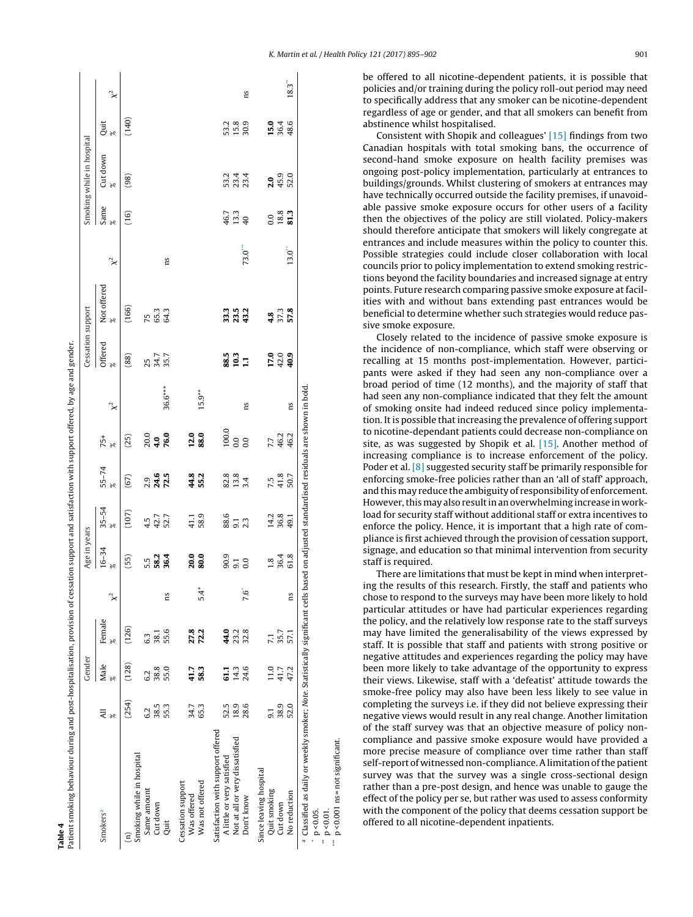<span id="page-6-0"></span>

| ns<br>Female<br>(126)<br>55.6<br>38.1<br>6.3<br>৯ৎ<br>(128)<br>Male<br>38.8<br>55.0<br>6.2<br>æ<br>(254)<br>38.5<br>553<br>6.2<br>₹<br>৯ৎ<br>Smoking while in hospital<br>Same amount<br>Cut down<br>Smokers <sup>a</sup><br><b>Juit</b><br>Ξ | $\approx$     |                       | Age in years          |                    |                     |           | Cessation support |                   |                      |               | Smoking while in hospital |                     |                      |
|-----------------------------------------------------------------------------------------------------------------------------------------------------------------------------------------------------------------------------------------------|---------------|-----------------------|-----------------------|--------------------|---------------------|-----------|-------------------|-------------------|----------------------|---------------|---------------------------|---------------------|----------------------|
|                                                                                                                                                                                                                                               |               | $16 - 34$<br>$\aleph$ | $35 - 54$<br>$\aleph$ | $55 - 74$<br>×     | $75+$<br>æ          | $\approx$ | Offered<br>৯ৎ     | Not offered<br>৯ৎ | $\approx$            | Same<br>৯ৎ    | Cut down<br>৯ৎ            | <b>Quit</b><br>×    | $\chi^2$             |
|                                                                                                                                                                                                                                               |               | (55)                  | (107)                 | (67)               | (25)                |           | (88)              | (166)             |                      | (16)          | (98)                      | (140)               |                      |
|                                                                                                                                                                                                                                               |               |                       |                       |                    |                     |           | 25                | 75                |                      |               |                           |                     |                      |
|                                                                                                                                                                                                                                               |               | 5.3<br>582<br>36.4    | 4.5<br>42.7<br>52.7   | $\frac{2.9}{24.6}$ | 20.0<br>4.9<br>76.0 |           | 34.7              | 65.3<br>64.3      |                      |               |                           |                     |                      |
|                                                                                                                                                                                                                                               |               |                       |                       |                    |                     | 36.6***   | 35.7              |                   | ns                   |               |                           |                     |                      |
| 41.7<br>34.7<br>Cessation support<br>Was offered                                                                                                                                                                                              |               | 20.0                  | 41.1                  | 44.8               |                     |           |                   |                   |                      |               |                           |                     |                      |
| 27.8<br>72.2<br>58.3<br>65.3<br>Was not offered                                                                                                                                                                                               | 54*           | 80.0                  | 58.9                  | 55.2               | $\frac{12.0}{88.0}$ | $15.9***$ |                   |                   |                      |               |                           |                     |                      |
| 44.0<br>51<br>52.5<br>Satisfaction with support offered<br>A little or very satisfied                                                                                                                                                         |               |                       | 88.6                  | 82.8               | 100.0               |           |                   |                   |                      | 46.7          |                           |                     |                      |
| 23.2<br>14.3<br>18.9<br>Not at all or very dissatisfied                                                                                                                                                                                       |               | 9<br>9 T, 9<br>9 D, 9 |                       |                    | 0.0                 |           | 88.5<br>10.3      | ង ដូ ង<br>ង ង ង   |                      | 13.3          |                           | 53.2<br>15.8        |                      |
| 32.8<br>24.6<br>28.6<br>Don't know                                                                                                                                                                                                            | $\frac{6}{7}$ |                       | $\frac{1}{2}$ .3      | $13.8$<br>$3.4$    | 0.0                 | ns        | $\Xi$             |                   | 73.0                 | $\Theta$      |                           | 30.9                | ns                   |
| Since leaving hospital                                                                                                                                                                                                                        |               |                       |                       |                    |                     |           |                   |                   |                      | 0.0           |                           |                     |                      |
| 35.7<br>$\overline{7.1}$<br>11.0<br>41.7<br>38.9<br>$\overline{5}$<br>Quit smoking<br>Cut down                                                                                                                                                |               | 36.4<br>1.8           | 14.2<br>36.8          | 41.8<br>7.5        | 7.7<br>46.2         |           | $17.0$<br>42.0    | 37.3<br>4.8       |                      | 18.8          | 45.9<br>2.0               | <b>15.0</b><br>36.4 |                      |
| 571<br>47.2<br>52.0<br>No reduction                                                                                                                                                                                                           | ns            | 61.8                  | 49.1                  | 50.7               | 46.2                | ns        | 40.9              | 57.8              | $13.0$ <sup>**</sup> | $\frac{3}{2}$ | 52.0                      | 48.6                | $18.3$ <sup>**</sup> |

p < 0.05. \*\* p < 0.01. \*\*\*  $p < 0.001$  ns = not significant < 0.001 ns = not significant. be offered to all nicotine-dependent patients, it is possible that policies and/or training during the policy roll-out period may need to specifically address that any smoker can be nicotine-dependent regardless of age or gender, and that all smokers can benefit from abstinence whilst hospitalised.

Consistent with Shopik and colleagues' [\[15\]](#page-7-0) findings from two Canadian hospitals with total smoking bans, the occurrence of second-hand smoke exposure on health facility premises was ongoing post-policy implementation, particularly at entrances to buildings/grounds. Whilst clustering of smokers at entrances may have technically occurred outside the facility premises, if unavoidable passive smoke exposure occurs for other users of a facility then the objectives of the policy are still violated. Policy-makers should therefore anticipate that smokers will likely congregate at entrances and include measures within the policy to counter this. Possible strategies could include closer collaboration with local councils prior to policy implementation to extend smoking restrictions beyond the facility boundaries and increased signage at entry points. Future research comparing passive smoke exposure at facilities with and without bans extending past entrances would be beneficial to determine whether such strategies would reduce passive smoke exposure.

Closely related to the incidence of passive smoke exposure is the incidence of non-compliance, which staff were observing or recalling at 15 months post-implementation. However, participants were asked if they had seen any non-compliance over a broad period of time (12 months), and the majority of staff that had seen any non-compliance indicated that they felt the amount of smoking onsite had indeed reduced since policy implementation. It is possible that increasing the prevalence of offering support to nicotine-dependant patients could decrease non-compliance on site, as was suggested by Shopik et al. [\[15\]](#page-7-0) . Another method of increasing compliance is to increase enforcement of the policy. Poder et al. [\[8\]](#page-7-0) suggested security staff be primarily responsible for enforcing smoke-free policies rather than an 'all of staff' approach, and this may reduce the ambiguity of responsibility of enforcement. However, this may also result in an overwhelming increase in workload for security staff without additional staff or extra incentives to enforce the policy. Hence, it is important that a high rate of compliance is first achieved through the provision of cessation support, signage, and education so that minimal intervention from security staff is required.

There are limitations that must be kept in mind when interpreting the results of this research. Firstly, the staff and patients who chose to respond to the surveys may have been more likely to hold particular attitudes or have had particular experiences regarding the policy, and the relatively low response rate to the staff surveys may have limited the generalisability of the views expressed by staff. It is possible that staff and patients with strong positive or negative attitudes and experiences regarding the policy may have been more likely to take advantage of the opportunity to express their views. Likewise, staff with a 'defeatist' attitude towards the smoke-free policy may also have been less likely to see value in completing the surveys i.e. if they did not believe expressing their negative views would result in any real change. Another limitation of the staff survey was that an objective measure of policy noncompliance and passive smoke exposure would have provided a more precise measure of compliance over time rather than staff self-report of witnessed non-compliance. Alimitation ofthe patient survey was that the survey was a single cross-sectional design rather than a pre-post design, and hence was unable to gauge the effect of the policy per se, but rather was used to assess conformity with the component of the policy that deems cessation support be offered to all nicotine-dependent inpatients.